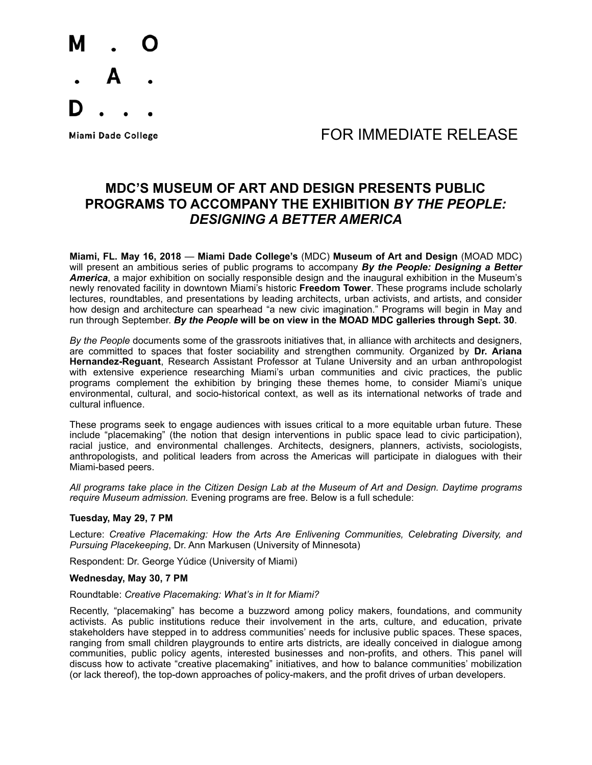

## Miami Dade College The College College College The College The Second FOR IMMEDIATE RELEASE

## **MDC'S MUSEUM OF ART AND DESIGN PRESENTS PUBLIC PROGRAMS TO ACCOMPANY THE EXHIBITION** *BY THE PEOPLE: DESIGNING A BETTER AMERICA*

**Miami, FL. May 16, 2018** — **Miami Dade College's** (MDC) **Museum of Art and Design** (MOAD MDC) will present an ambitious series of public programs to accompany *By the People: Designing a Better America*, a major exhibition on socially responsible design and the inaugural exhibition in the Museum's newly renovated facility in downtown Miami's historic **Freedom Tower**. These programs include scholarly lectures, roundtables, and presentations by leading architects, urban activists, and artists, and consider how design and architecture can spearhead "a new civic imagination." Programs will begin in May and run through September. *By the People* **will be on view in the MOAD MDC galleries through Sept. 30**.

*By the People* documents some of the grassroots initiatives that, in alliance with architects and designers, are committed to spaces that foster sociability and strengthen community. Organized by **Dr. Ariana Hernandez-Reguant**, Research Assistant Professor at Tulane University and an urban anthropologist with extensive experience researching Miami's urban communities and civic practices, the public programs complement the exhibition by bringing these themes home, to consider Miami's unique environmental, cultural, and socio-historical context, as well as its international networks of trade and cultural influence.

These programs seek to engage audiences with issues critical to a more equitable urban future. These include "placemaking" (the notion that design interventions in public space lead to civic participation), racial justice, and environmental challenges. Architects, designers, planners, activists, sociologists, anthropologists, and political leaders from across the Americas will participate in dialogues with their Miami-based peers.

*All programs take place in the Citizen Design Lab at the Museum of Art and Design. Daytime programs require Museum admission.* Evening programs are free. Below is a full schedule:

#### **Tuesday, May 29, 7 PM**

Lecture: *Creative Placemaking: How the Arts Are Enlivening Communities, Celebrating Diversity, and Pursuing Placekeeping*, Dr. Ann Markusen (University of Minnesota)

Respondent: Dr. George Yúdice (University of Miami)

#### **Wednesday, May 30, 7 PM**

#### Roundtable: *Creative Placemaking: What's in It for Miami?*

Recently, "placemaking" has become a buzzword among policy makers, foundations, and community activists. As public institutions reduce their involvement in the arts, culture, and education, private stakeholders have stepped in to address communities' needs for inclusive public spaces. These spaces, ranging from small children playgrounds to entire arts districts, are ideally conceived in dialogue among communities, public policy agents, interested businesses and non-profits, and others. This panel will discuss how to activate "creative placemaking" initiatives, and how to balance communities' mobilization (or lack thereof), the top-down approaches of policy-makers, and the profit drives of urban developers.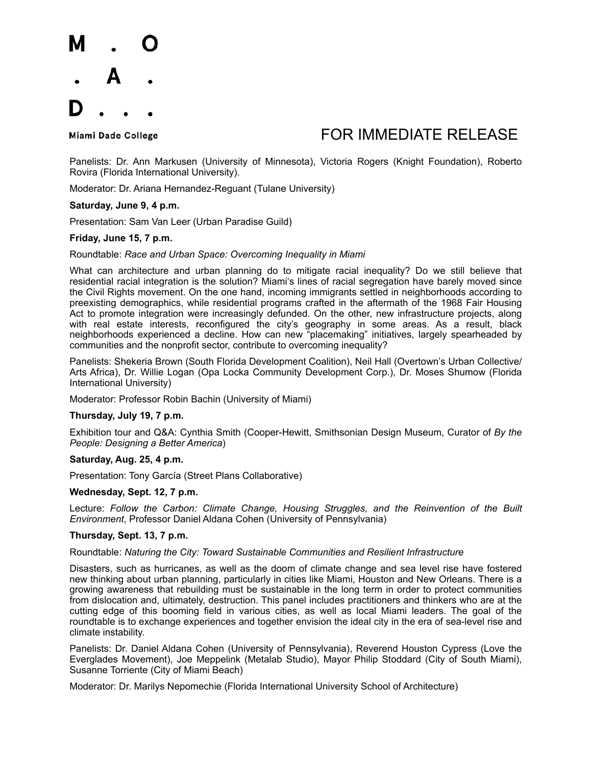

## Miami Dade College The Second Lease College College The Second Lease FOR IMMEDIATE RELEASE

Panelists: Dr. Ann Markusen (University of Minnesota), Victoria Rogers (Knight Foundation), Roberto Rovira (Florida International University).

Moderator: Dr. Ariana Hernandez-Reguant (Tulane University)

#### **Saturday, June 9, 4 p.m.**

Presentation: Sam Van Leer (Urban Paradise Guild)

#### **Friday, June 15, 7 p.m.**

Roundtable: *Race and Urban Space: Overcoming Inequality in Miami* 

What can architecture and urban planning do to mitigate racial inequality? Do we still believe that residential racial integration is the solution? Miami's lines of racial segregation have barely moved since the Civil Rights movement. On the one hand, incoming immigrants settled in neighborhoods according to preexisting demographics, while residential programs crafted in the aftermath of the 1968 Fair Housing Act to promote integration were increasingly defunded. On the other, new infrastructure projects, along with real estate interests, reconfigured the city's geography in some areas. As a result, black neighborhoods experienced a decline. How can new "placemaking" initiatives, largely spearheaded by communities and the nonprofit sector, contribute to overcoming inequality?

Panelists: Shekeria Brown (South Florida Development Coalition), Neil Hall (Overtown's Urban Collective/ Arts Africa), Dr. Willie Logan (Opa Locka Community Development Corp.), Dr. Moses Shumow (Florida International University)

Moderator: Professor Robin Bachin (University of Miami)

#### **Thursday, July 19, 7 p.m.**

Exhibition tour and Q&A: Cynthia Smith (Cooper-Hewitt, Smithsonian Design Museum, Curator of *By the People: Designing a Better America*)

#### **Saturday, Aug. 25, 4 p.m.**

Presentation: Tony García (Street Plans Collaborative)

#### **Wednesday, Sept. 12, 7 p.m.**

Lecture: *Follow the Carbon: Climate Change, Housing Struggles, and the Reinvention of the Built Environment*, Professor Daniel Aldana Cohen (University of Pennsylvania)

#### **Thursday, Sept. 13, 7 p.m.**

#### Roundtable: *Naturing the City: Toward Sustainable Communities and Resilient Infrastructure*

Disasters, such as hurricanes, as well as the doom of climate change and sea level rise have fostered new thinking about urban planning, particularly in cities like Miami, Houston and New Orleans. There is a growing awareness that rebuilding must be sustainable in the long term in order to protect communities from dislocation and, ultimately, destruction. This panel includes practitioners and thinkers who are at the cutting edge of this booming field in various cities, as well as local Miami leaders. The goal of the roundtable is to exchange experiences and together envision the ideal city in the era of sea-level rise and climate instability.

Panelists: Dr. Daniel Aldana Cohen (University of Pennsylvania), Reverend Houston Cypress (Love the Everglades Movement), Joe Meppelink (Metalab Studio), Mayor Philip Stoddard (City of South Miami), Susanne Torriente (City of Miami Beach)

Moderator: Dr. Marilys Nepomechie (Florida International University School of Architecture)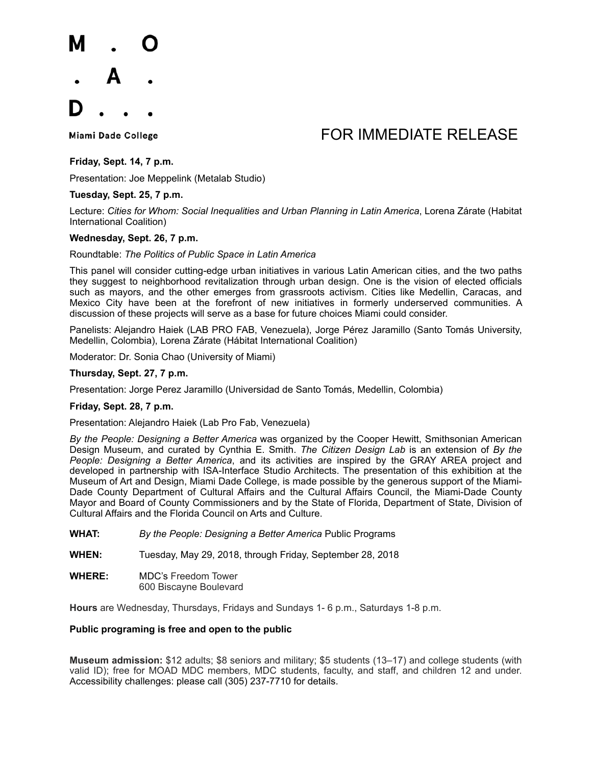

# Miami Dade College The College College College The College The Second FOR IMMEDIATE RELEASE

### **Friday, Sept. 14, 7 p.m.**

Presentation: Joe Meppelink (Metalab Studio)

### **Tuesday, Sept. 25, 7 p.m.**

Lecture: *Cities for Whom: Social Inequalities and Urban Planning in Latin America*, Lorena Zárate (Habitat International Coalition)

#### **Wednesday, Sept. 26, 7 p.m.**

Roundtable: *The Politics of Public Space in Latin America*

This panel will consider cutting-edge urban initiatives in various Latin American cities, and the two paths they suggest to neighborhood revitalization through urban design. One is the vision of elected officials such as mayors, and the other emerges from grassroots activism. Cities like Medellin, Caracas, and Mexico City have been at the forefront of new initiatives in formerly underserved communities. A discussion of these projects will serve as a base for future choices Miami could consider.

Panelists: Alejandro Haiek (LAB PRO FAB, Venezuela), Jorge Pérez Jaramillo (Santo Tomás University, Medellin, Colombia), Lorena Zárate (Hábitat International Coalition)

Moderator: Dr. Sonia Chao (University of Miami)

#### **Thursday, Sept. 27, 7 p.m.**

Presentation: Jorge Perez Jaramillo (Universidad de Santo Tomás, Medellin, Colombia)

#### **Friday, Sept. 28, 7 p.m.**

Presentation: Alejandro Haiek (Lab Pro Fab, Venezuela)

*By the People: Designing a Better America* was organized by the Cooper Hewitt, Smithsonian American Design Museum, and curated by Cynthia E. Smith. *The Citizen Design Lab* is an extension of *By the People: Designing a Better America*, and its activities are inspired by the GRAY AREA project and developed in partnership with ISA-Interface Studio Architects. The presentation of this exhibition at the Museum of Art and Design, Miami Dade College, is made possible by the generous support of the Miami-Dade County Department of Cultural Affairs and the Cultural Affairs Council, the Miami-Dade County Mayor and Board of County Commissioners and by the State of Florida, Department of State, Division of Cultural Affairs and the Florida Council on Arts and Culture.

**WHAT:** *By the People: Designing a Better America* Public Programs

**WHEN:** Tuesday, May 29, 2018, through Friday, September 28, 2018

**WHERE:** MDC's Freedom Tower 600 Biscayne Boulevard

**Hours** are Wednesday, Thursdays, Fridays and Sundays 1- 6 p.m., Saturdays 1-8 p.m.

#### **Public programing is free and open to the public**

**Museum admission:** \$12 adults; \$8 seniors and military; \$5 students (13–17) and college students (with valid ID); free for MOAD MDC members, MDC students, faculty, and staff, and children 12 and under. Accessibility challenges: please call (305) 237-7710 for details.